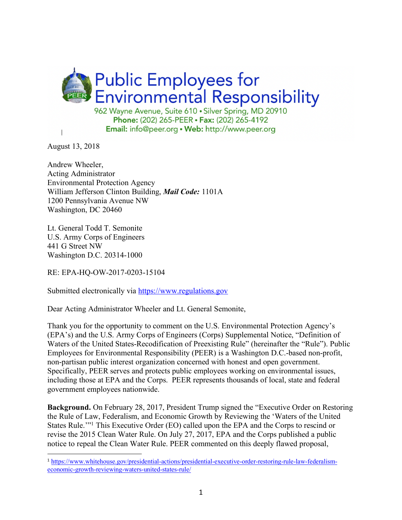

August 13, 2018

 $\overline{a}$ 

Andrew Wheeler, Acting Administrator Environmental Protection Agency William Jefferson Clinton Building, *Mail Code:* 1101A 1200 Pennsylvania Avenue NW Washington, DC 20460

Lt. General Todd T. Semonite U.S. Army Corps of Engineers 441 G Street NW Washington D.C. 20314-1000

RE: EPA-HQ-OW-2017-0203-15104

Submitted electronically via https://www.regulations.gov

Dear Acting Administrator Wheeler and Lt. General Semonite,

Thank you for the opportunity to comment on the U.S. Environmental Protection Agency's (EPA's) and the U.S. Army Corps of Engineers (Corps) Supplemental Notice, "Definition of Waters of the United States-Recodification of Preexisting Rule" (hereinafter the "Rule"). Public Employees for Environmental Responsibility (PEER) is a Washington D.C.-based non-profit, non-partisan public interest organization concerned with honest and open government. Specifically, PEER serves and protects public employees working on environmental issues, including those at EPA and the Corps. PEER represents thousands of local, state and federal government employees nationwide.

**Background.** On February 28, 2017, President Trump signed the "Executive Order on Restoring the Rule of Law, Federalism, and Economic Growth by Reviewing the 'Waters of the United States Rule.'"1 This Executive Order (EO) called upon the EPA and the Corps to rescind or revise the 2015 Clean Water Rule. On July 27, 2017, EPA and the Corps published a public notice to repeal the Clean Water Rule. PEER commented on this deeply flawed proposal,

<sup>1</sup> https://www.whitehouse.gov/presidential-actions/presidential-executive-order-restoring-rule-law-federalismeconomic-growth-reviewing-waters-united-states-rule/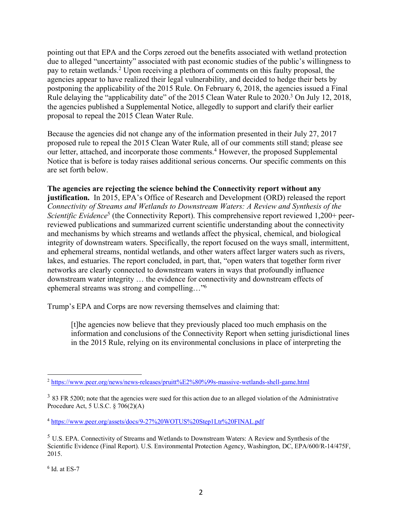pointing out that EPA and the Corps zeroed out the benefits associated with wetland protection due to alleged "uncertainty" associated with past economic studies of the public's willingness to pay to retain wetlands.2 Upon receiving a plethora of comments on this faulty proposal, the agencies appear to have realized their legal vulnerability, and decided to hedge their bets by postponing the applicability of the 2015 Rule. On February 6, 2018, the agencies issued a Final Rule delaying the "applicability date" of the 2015 Clean Water Rule to 2020.<sup>3</sup> On July 12, 2018, the agencies published a Supplemental Notice, allegedly to support and clarify their earlier proposal to repeal the 2015 Clean Water Rule.

Because the agencies did not change any of the information presented in their July 27, 2017 proposed rule to repeal the 2015 Clean Water Rule, all of our comments still stand; please see our letter, attached, and incorporate those comments.<sup>4</sup> However, the proposed Supplemental Notice that is before is today raises additional serious concerns. Our specific comments on this are set forth below.

## **The agencies are rejecting the science behind the Connectivity report without any**

**justification.** In 2015, EPA's Office of Research and Development (ORD) released the report *Connectivity of Streams and Wetlands to Downstream Waters: A Review and Synthesis of the Scientific Evidence*<sup>5</sup> (the Connectivity Report). This comprehensive report reviewed 1,200+ peerreviewed publications and summarized current scientific understanding about the connectivity and mechanisms by which streams and wetlands affect the physical, chemical, and biological integrity of downstream waters. Specifically, the report focused on the ways small, intermittent, and ephemeral streams, nontidal wetlands, and other waters affect larger waters such as rivers, lakes, and estuaries. The report concluded, in part, that, "open waters that together form river networks are clearly connected to downstream waters in ways that profoundly influence downstream water integrity … the evidence for connectivity and downstream effects of ephemeral streams was strong and compelling…"6

Trump's EPA and Corps are now reversing themselves and claiming that:

[t]he agencies now believe that they previously placed too much emphasis on the information and conclusions of the Connectivity Report when setting jurisdictional lines in the 2015 Rule, relying on its environmental conclusions in place of interpreting the

 $6$  Id. at ES-7

 <sup>2</sup> https://www.peer.org/news/news-releases/pruitt%E2%80%99s-massive-wetlands-shell-game.html

<sup>&</sup>lt;sup>3</sup> 83 FR 5200; note that the agencies were sued for this action due to an alleged violation of the Administrative Procedure Act, 5 U.S.C. § 706(2)(A)

<sup>4</sup> https://www.peer.org/assets/docs/9-27%20WOTUS%20Step1Ltr%20FINAL.pdf

 $<sup>5</sup>$  U.S. EPA. Connectivity of Streams and Wetlands to Downstream Waters: A Review and Synthesis of the</sup> Scientific Evidence (Final Report). U.S. Environmental Protection Agency, Washington, DC, EPA/600/R-14/475F, 2015.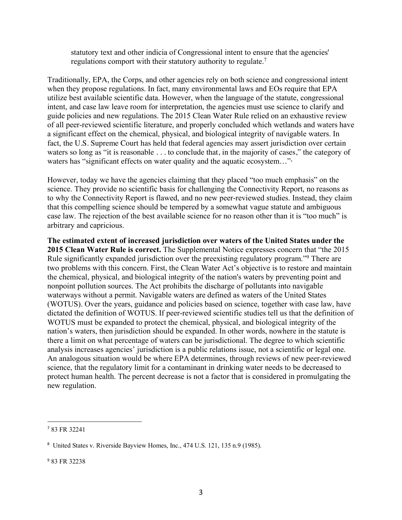statutory text and other indicia of Congressional intent to ensure that the agencies' regulations comport with their statutory authority to regulate.7

Traditionally, EPA, the Corps, and other agencies rely on both science and congressional intent when they propose regulations. In fact, many environmental laws and EOs require that EPA utilize best available scientific data. However, when the language of the statute, congressional intent, and case law leave room for interpretation, the agencies must use science to clarify and guide policies and new regulations. The 2015 Clean Water Rule relied on an exhaustive review of all peer-reviewed scientific literature, and properly concluded which wetlands and waters have a significant effect on the chemical, physical, and biological integrity of navigable waters. In fact, the U.S. Supreme Court has held that federal agencies may assert jurisdiction over certain waters so long as "it is reasonable . . . to conclude that, in the majority of cases," the category of waters has "significant effects on water quality and the aquatic ecosystem..."<sup>8</sup>

However, today we have the agencies claiming that they placed "too much emphasis" on the science. They provide no scientific basis for challenging the Connectivity Report, no reasons as to why the Connectivity Report is flawed, and no new peer-reviewed studies. Instead, they claim that this compelling science should be tempered by a somewhat vague statute and ambiguous case law. The rejection of the best available science for no reason other than it is "too much" is arbitrary and capricious.

**The estimated extent of increased jurisdiction over waters of the United States under the 2015 Clean Water Rule is correct.** The Supplemental Notice expresses concern that "the 2015 Rule significantly expanded jurisdiction over the preexisting regulatory program."9 There are two problems with this concern. First, the Clean Water Act's objective is to restore and maintain the chemical, physical, and biological integrity of the nation's waters by preventing point and nonpoint pollution sources. The Act prohibits the discharge of pollutants into navigable waterways without a permit. Navigable waters are defined as waters of the United States (WOTUS). Over the years, guidance and policies based on science, together with case law, have dictated the definition of WOTUS. If peer-reviewed scientific studies tell us that the definition of WOTUS must be expanded to protect the chemical, physical, and biological integrity of the nation's waters, then jurisdiction should be expanded. In other words, nowhere in the statute is there a limit on what percentage of waters can be jurisdictional. The degree to which scientific analysis increases agencies' jurisdiction is a public relations issue, not a scientific or legal one. An analogous situation would be where EPA determines, through reviews of new peer-reviewed science, that the regulatory limit for a contaminant in drinking water needs to be decreased to protect human health. The percent decrease is not a factor that is considered in promulgating the new regulation.

 $\overline{a}$ 

<sup>7</sup> 83 FR 32241

<sup>8</sup> United States v. Riverside Bayview Homes, Inc., 474 U.S. 121, 135 n.9 (1985).

<sup>9</sup> 83 FR 32238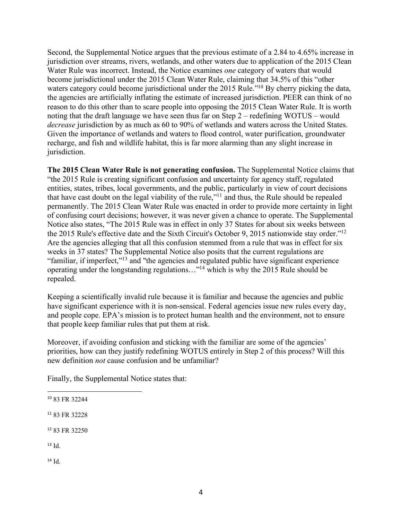Second, the Supplemental Notice argues that the previous estimate of a 2.84 to 4.65% increase in jurisdiction over streams, rivers, wetlands, and other waters due to application of the 2015 Clean Water Rule was incorrect. Instead, the Notice examines *one* category of waters that would become jurisdictional under the 2015 Clean Water Rule, claiming that 34.5% of this "other waters category could become jurisdictional under the 2015 Rule.<sup>"10</sup> By cherry picking the data, the agencies are artificially inflating the estimate of increased jurisdiction. PEER can think of no reason to do this other than to scare people into opposing the 2015 Clean Water Rule. It is worth noting that the draft language we have seen thus far on Step 2 – redefining WOTUS – would *decrease* jurisdiction by as much as 60 to 90% of wetlands and waters across the United States. Given the importance of wetlands and waters to flood control, water purification, groundwater recharge, and fish and wildlife habitat, this is far more alarming than any slight increase in jurisdiction.

**The 2015 Clean Water Rule is not generating confusion.** The Supplemental Notice claims that "the 2015 Rule is creating significant confusion and uncertainty for agency staff, regulated entities, states, tribes, local governments, and the public, particularly in view of court decisions that have cast doubt on the legal viability of the rule,"11 and thus, the Rule should be repealed permanently. The 2015 Clean Water Rule was enacted in order to provide more certainty in light of confusing court decisions; however, it was never given a chance to operate. The Supplemental Notice also states, "The 2015 Rule was in effect in only 37 States for about six weeks between the 2015 Rule's effective date and the Sixth Circuit's October 9, 2015 nationwide stay order."12 Are the agencies alleging that all this confusion stemmed from a rule that was in effect for six weeks in 37 states? The Supplemental Notice also posits that the current regulations are "familiar, if imperfect,"13 and "the agencies and regulated public have significant experience operating under the longstanding regulations…"14 which is why the 2015 Rule should be repealed.

Keeping a scientifically invalid rule because it is familiar and because the agencies and public have significant experience with it is non-sensical. Federal agencies issue new rules every day, and people cope. EPA's mission is to protect human health and the environment, not to ensure that people keep familiar rules that put them at risk.

Moreover, if avoiding confusion and sticking with the familiar are some of the agencies' priorities, how can they justify redefining WOTUS entirely in Step 2 of this process? Will this new definition *not* cause confusion and be unfamiliar?

Finally, the Supplemental Notice states that:

- <sup>11</sup> 83 FR 32228
- <sup>12</sup> 83 FR 32250
- $13 \mathrm{Id}$

 $\overline{a}$ 

 $14$  Id.

<sup>10</sup> 83 FR 32244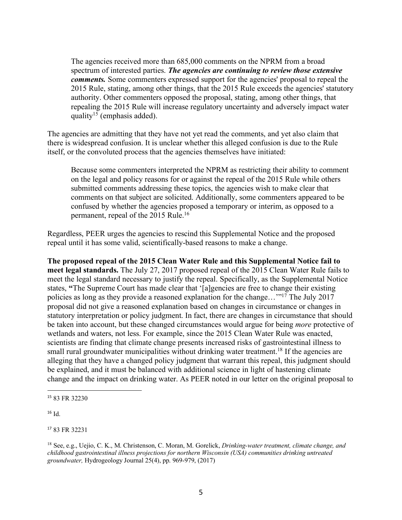The agencies received more than 685,000 comments on the NPRM from a broad spectrum of interested parties. *The agencies are continuing to review those extensive comments.* Some commenters expressed support for the agencies' proposal to repeal the 2015 Rule, stating, among other things, that the 2015 Rule exceeds the agencies' statutory authority. Other commenters opposed the proposal, stating, among other things, that repealing the 2015 Rule will increase regulatory uncertainty and adversely impact water quality<sup>15</sup> (emphasis added).

The agencies are admitting that they have not yet read the comments, and yet also claim that there is widespread confusion. It is unclear whether this alleged confusion is due to the Rule itself, or the convoluted process that the agencies themselves have initiated:

Because some commenters interpreted the NPRM as restricting their ability to comment on the legal and policy reasons for or against the repeal of the 2015 Rule while others submitted comments addressing these topics, the agencies wish to make clear that comments on that subject are solicited. Additionally, some commenters appeared to be confused by whether the agencies proposed a temporary or interim, as opposed to a permanent, repeal of the 2015 Rule.16

Regardless, PEER urges the agencies to rescind this Supplemental Notice and the proposed repeal until it has some valid, scientifically-based reasons to make a change.

**The proposed repeal of the 2015 Clean Water Rule and this Supplemental Notice fail to meet legal standards.** The July 27, 2017 proposed repeal of the 2015 Clean Water Rule fails to meet the legal standard necessary to justify the repeal. Specifically, as the Supplemental Notice states, **"**The Supreme Court has made clear that '[a]gencies are free to change their existing policies as long as they provide a reasoned explanation for the change…'"17 The July 2017 proposal did not give a reasoned explanation based on changes in circumstance or changes in statutory interpretation or policy judgment. In fact, there are changes in circumstance that should be taken into account, but these changed circumstances would argue for being *more* protective of wetlands and waters, not less. For example, since the 2015 Clean Water Rule was enacted, scientists are finding that climate change presents increased risks of gastrointestinal illness to small rural groundwater municipalities without drinking water treatment.<sup>18</sup> If the agencies are alleging that they have a changed policy judgment that warrant this repeal, this judgment should be explained, and it must be balanced with additional science in light of hastening climate change and the impact on drinking water. As PEER noted in our letter on the original proposal to

<sup>17</sup> 83 FR 32231

 $\overline{a}$ <sup>15</sup> 83 FR 32230

 $16$  Id.

<sup>18</sup> See, e.g., Uejio, C. K., M. Christenson, C. Moran, M. Gorelick, *Drinking-water treatment, climate change, and childhood gastrointestinal illness projections for northern Wisconsin (USA) communities drinking untreated groundwater,* Hydrogeology Journal 25(4), pp. 969-979, (2017)